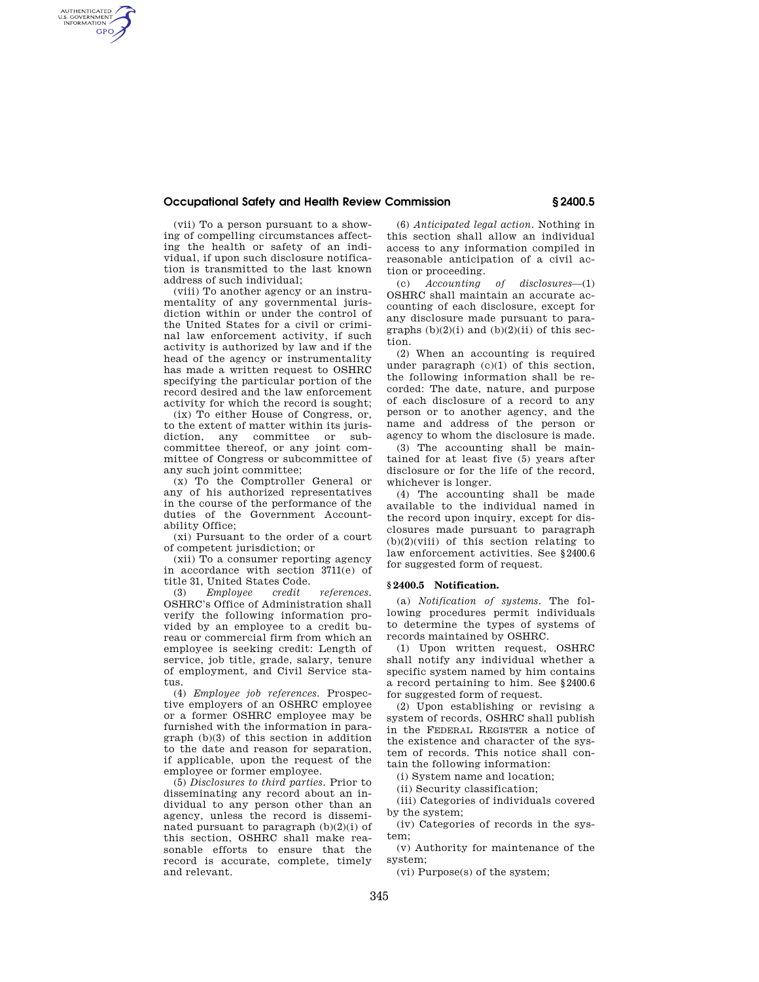## **Occupational Safety and Health Review Commission § 2400.5**

(vii) To a person pursuant to a showing of compelling circumstances affecting the health or safety of an individual, if upon such disclosure notification is transmitted to the last known address of such individual;

AUTHENTICATED<br>U.S. GOVERNMENT<br>INFORMATION **GPO** 

> (viii) To another agency or an instrumentality of any governmental jurisdiction within or under the control of the United States for a civil or criminal law enforcement activity, if such activity is authorized by law and if the head of the agency or instrumentality has made a written request to OSHRC specifying the particular portion of the record desired and the law enforcement activity for which the record is sought;

> (ix) To either House of Congress, or, to the extent of matter within its jurisdiction, any committee or subcommittee thereof, or any joint committee of Congress or subcommittee of any such joint committee;

> (x) To the Comptroller General or any of his authorized representatives in the course of the performance of the duties of the Government Accountability Office;

> (xi) Pursuant to the order of a court of competent jurisdiction; or

> (xii) To a consumer reporting agency in accordance with section 3711(e) of

> title 31, United States Code.<br>(3) Employee credit (3) *Employee credit references.*  OSHRC's Office of Administration shall verify the following information provided by an employee to a credit bureau or commercial firm from which an employee is seeking credit: Length of service, job title, grade, salary, tenure of employment, and Civil Service status.

> (4) *Employee job references.* Prospective employers of an OSHRC employee or a former OSHRC employee may be furnished with the information in paragraph (b)(3) of this section in addition to the date and reason for separation, if applicable, upon the request of the employee or former employee.

> (5) *Disclosures to third parties*. Prior to disseminating any record about an individual to any person other than an agency, unless the record is disseminated pursuant to paragraph  $(b)(2)(i)$  of this section, OSHRC shall make reasonable efforts to ensure that the record is accurate, complete, timely and relevant.

(6) *Anticipated legal action.* Nothing in this section shall allow an individual access to any information compiled in reasonable anticipation of a civil action or proceeding.

(c) *Accounting of disclosures*—(1) OSHRC shall maintain an accurate accounting of each disclosure, except for any disclosure made pursuant to paragraphs  $(b)(2)(i)$  and  $(b)(2)(ii)$  of this section.

(2) When an accounting is required under paragraph (c)(1) of this section, the following information shall be recorded: The date, nature, and purpose of each disclosure of a record to any person or to another agency, and the name and address of the person or agency to whom the disclosure is made.

(3) The accounting shall be maintained for at least five (5) years after disclosure or for the life of the record, whichever is longer.

(4) The accounting shall be made available to the individual named in the record upon inquiry, except for disclosures made pursuant to paragraph  $(b)(2)(viii)$  of this section relating to law enforcement activities. See §2400.6 for suggested form of request.

## **§ 2400.5 Notification.**

(a) *Notification of systems.* The following procedures permit individuals to determine the types of systems of records maintained by OSHRC.

(1) Upon written request, OSHRC shall notify any individual whether a specific system named by him contains a record pertaining to him. See §2400.6 for suggested form of request.

(2) Upon establishing or revising a system of records, OSHRC shall publish in the FEDERAL REGISTER a notice of the existence and character of the system of records. This notice shall contain the following information:

(i) System name and location;

(ii) Security classification;

(iii) Categories of individuals covered by the system;

(iv) Categories of records in the system;

(v) Authority for maintenance of the system;

(vi) Purpose(s) of the system;